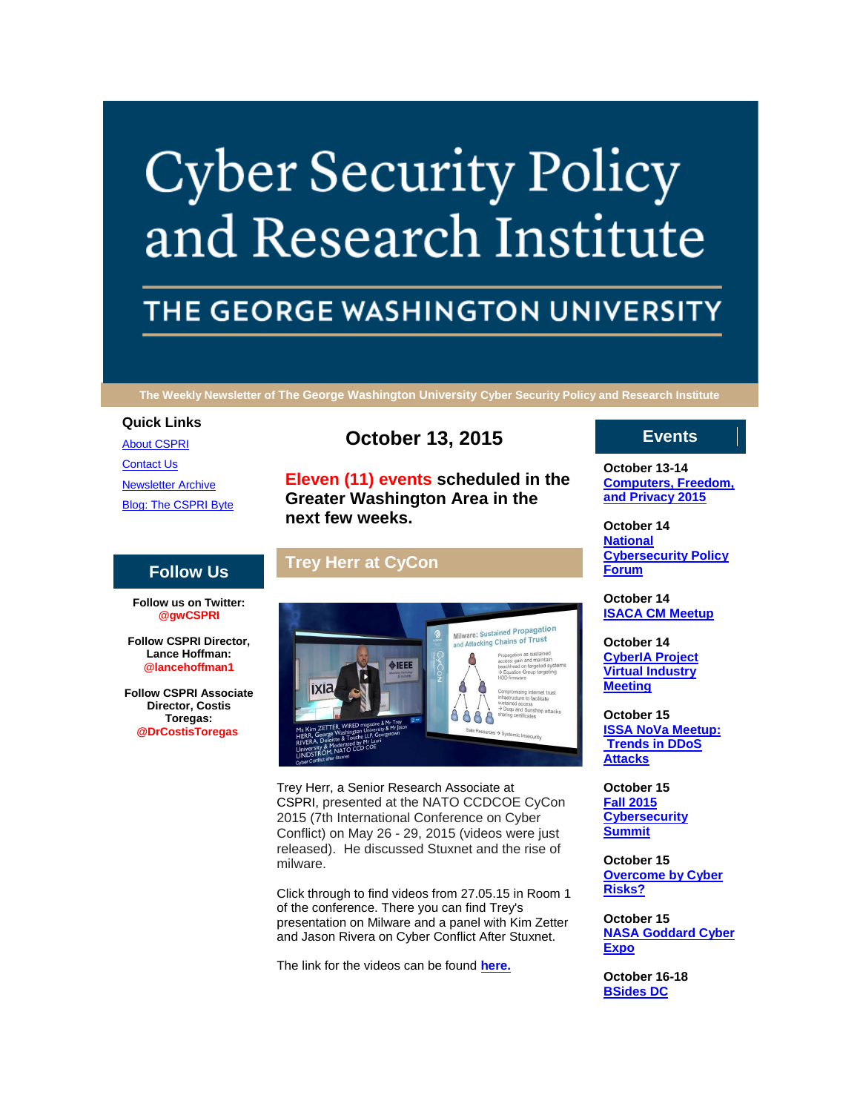# **Cyber Security Policy** and Research Institute

# THE GEORGE WASHINGTON UNIVERSITY

**The Weekly Newsletter of The George Washington University Cyber Security Policy and Research Institute**

#### **Quick Links**

[About CSPRI](http://r20.rs6.net/tn.jsp?f=0013tB0IIqM28zna5baaVTbH0mI-4DeaKev5TZQOaZHh6IawPKKxqPllIlockr52KUPpf-3r2agQR7v1z01i0IkVWWcn86vHsPmwXHQ3rmrqE2hOl6YrJJ51glarhjsrfWRbn6ngRn8z76dmSoQHSUATEyVm2v927YJAjIqNq_5zivVnSezETMza5bJaOZ7sWvl&c=3xfQLcehl6Yh_8heTzmz3Q7nJx0R2W1auLku17GKwJFZ1IKRRh9grw==&ch=BDo8d4s4mW9R33QDssKLxUZJNKq5yb18lIGnfb3Lr-CHF--8tSGasg==) [Contact Us](http://r20.rs6.net/tn.jsp?f=0013tB0IIqM28zna5baaVTbH0mI-4DeaKev5TZQOaZHh6IawPKKxqPllIlockr52KUPR6GA4n707mWqKsNuFdFC_53GrpNJYF_6zdey87_PJ00i-l19sJVLMre0aeAIr4nFN565mgG1N8OZmGkPwrJGwU3fnhkq7ub001x45TcCAroH-N21sHWahGhbsoqUz4jgMUXUD1vSJJ4=&c=3xfQLcehl6Yh_8heTzmz3Q7nJx0R2W1auLku17GKwJFZ1IKRRh9grw==&ch=BDo8d4s4mW9R33QDssKLxUZJNKq5yb18lIGnfb3Lr-CHF--8tSGasg==) [Newsletter Archive](http://r20.rs6.net/tn.jsp?f=0013tB0IIqM28zna5baaVTbH0mI-4DeaKev5TZQOaZHh6IawPKKxqPllIlockr52KUPp9gZGOKlCEcIUciB3nifgEKx3wYzmGpqAwhj295ftgLAKeBLZll927lzrFjPNZjkqHOhcZDRSGJUCp3ZmGrLg8U6bmVlsTrbHvWiu4CrdaVzvcYBHLtvmH6cXnmCS9oF2_rBSK8-yoI=&c=3xfQLcehl6Yh_8heTzmz3Q7nJx0R2W1auLku17GKwJFZ1IKRRh9grw==&ch=BDo8d4s4mW9R33QDssKLxUZJNKq5yb18lIGnfb3Lr-CHF--8tSGasg==) [Blog: The CSPRI Byte](http://r20.rs6.net/tn.jsp?f=0013tB0IIqM28zna5baaVTbH0mI-4DeaKev5TZQOaZHh6IawPKKxqPllIlockr52KUPXQ9BJw6sZa420bKgBodcIhR6M1W--Z8SZLRgZHFZVUyAiTq5odZ8B1TKsySvWaYfxNTPKxfuWjay93p7XXvZOTuudVmQmNnkdTlgcolvDUynUGtbdcg_sQ1gKJo6G7dk&c=3xfQLcehl6Yh_8heTzmz3Q7nJx0R2W1auLku17GKwJFZ1IKRRh9grw==&ch=BDo8d4s4mW9R33QDssKLxUZJNKq5yb18lIGnfb3Lr-CHF--8tSGasg==)

## **Follow Us**

**Follow us on Twitter: @gwCSPRI**

**Follow CSPRI Director, Lance Hoffman: @lancehoffman1**

**Follow CSPRI Associate Director, Costis Toregas: @DrCostisToregas**

# **October 13, 2015**

**Eleven (11) events scheduled in the Greater Washington Area in the next few weeks.**

# **Trey Herr at CyCon**



Trey Herr, a Senior Research Associate at CSPRI, presented at the NATO CCDCOE CyCon 2015 (7th International Conference on Cyber Conflict) on May 26 - 29, 2015 (videos were just released). He discussed Stuxnet and the rise of milware.

Click through to find videos from 27.05.15 in Room 1 of the conference. There you can find Trey's presentation on Milware and a panel with Kim Zetter and Jason Rivera on Cyber Conflict After Stuxnet.

The link for the videos can be found **[here.](http://r20.rs6.net/tn.jsp?f=0013tB0IIqM28zna5baaVTbH0mI-4DeaKev5TZQOaZHh6IawPKKxqPllJZLRY7Nf_2O1UZMUpTL1lemareXd2KsFzrsRkyOoRnbME9w4uvAhwNP15onxz4Yo4Nzd4ZzMRCk33vi_boSt_bbpQhj1NJuzD5edzdWtM-gymEs1OUiLUBKQTeznBhUThYoL4-q04Zrd-S3QZ5rTHc=&c=3xfQLcehl6Yh_8heTzmz3Q7nJx0R2W1auLku17GKwJFZ1IKRRh9grw==&ch=BDo8d4s4mW9R33QDssKLxUZJNKq5yb18lIGnfb3Lr-CHF--8tSGasg==)**

## **Events**

**October 13-14 [Computers, Freedom,](http://r20.rs6.net/tn.jsp?f=0013tB0IIqM28zna5baaVTbH0mI-4DeaKev5TZQOaZHh6IawPKKxqPllP5phlKJLA6qhqTOG-ylnjLKgNjxmS9sMbbmSN48BGQHQhZA6qCGMJWiwDzmF7xGnLT71GGFTHQ_UKu_1Fwg5C5f51z9Dw98ijunjw3OORY75bu3P1CPlrGTjOgIKKRstBir4DEPTwgmomXOcnM671w=&c=3xfQLcehl6Yh_8heTzmz3Q7nJx0R2W1auLku17GKwJFZ1IKRRh9grw==&ch=BDo8d4s4mW9R33QDssKLxUZJNKq5yb18lIGnfb3Lr-CHF--8tSGasg==)  [and Privacy 2015](http://r20.rs6.net/tn.jsp?f=0013tB0IIqM28zna5baaVTbH0mI-4DeaKev5TZQOaZHh6IawPKKxqPllP5phlKJLA6qhqTOG-ylnjLKgNjxmS9sMbbmSN48BGQHQhZA6qCGMJWiwDzmF7xGnLT71GGFTHQ_UKu_1Fwg5C5f51z9Dw98ijunjw3OORY75bu3P1CPlrGTjOgIKKRstBir4DEPTwgmomXOcnM671w=&c=3xfQLcehl6Yh_8heTzmz3Q7nJx0R2W1auLku17GKwJFZ1IKRRh9grw==&ch=BDo8d4s4mW9R33QDssKLxUZJNKq5yb18lIGnfb3Lr-CHF--8tSGasg==)**

**October 14 [National](http://r20.rs6.net/tn.jsp?f=0013tB0IIqM28zna5baaVTbH0mI-4DeaKev5TZQOaZHh6IawPKKxqPllP5phlKJLA6qhqTOG-ylnjLKgNjxmS9sMbbmSN48BGQHQhZA6qCGMJWiwDzmF7xGnLT71GGFTHQ_UKu_1Fwg5C5f51z9Dw98ijunjw3OORY75bu3P1CPlrGTjOgIKKRstBir4DEPTwgmomXOcnM671w=&c=3xfQLcehl6Yh_8heTzmz3Q7nJx0R2W1auLku17GKwJFZ1IKRRh9grw==&ch=BDo8d4s4mW9R33QDssKLxUZJNKq5yb18lIGnfb3Lr-CHF--8tSGasg==)  [Cybersecurity Policy](http://r20.rs6.net/tn.jsp?f=0013tB0IIqM28zna5baaVTbH0mI-4DeaKev5TZQOaZHh6IawPKKxqPllP5phlKJLA6qhqTOG-ylnjLKgNjxmS9sMbbmSN48BGQHQhZA6qCGMJWiwDzmF7xGnLT71GGFTHQ_UKu_1Fwg5C5f51z9Dw98ijunjw3OORY75bu3P1CPlrGTjOgIKKRstBir4DEPTwgmomXOcnM671w=&c=3xfQLcehl6Yh_8heTzmz3Q7nJx0R2W1auLku17GKwJFZ1IKRRh9grw==&ch=BDo8d4s4mW9R33QDssKLxUZJNKq5yb18lIGnfb3Lr-CHF--8tSGasg==)  [Forum](http://r20.rs6.net/tn.jsp?f=0013tB0IIqM28zna5baaVTbH0mI-4DeaKev5TZQOaZHh6IawPKKxqPllP5phlKJLA6qhqTOG-ylnjLKgNjxmS9sMbbmSN48BGQHQhZA6qCGMJWiwDzmF7xGnLT71GGFTHQ_UKu_1Fwg5C5f51z9Dw98ijunjw3OORY75bu3P1CPlrGTjOgIKKRstBir4DEPTwgmomXOcnM671w=&c=3xfQLcehl6Yh_8heTzmz3Q7nJx0R2W1auLku17GKwJFZ1IKRRh9grw==&ch=BDo8d4s4mW9R33QDssKLxUZJNKq5yb18lIGnfb3Lr-CHF--8tSGasg==)**

**October 14 [ISACA CM Meetup](http://r20.rs6.net/tn.jsp?f=0013tB0IIqM28zna5baaVTbH0mI-4DeaKev5TZQOaZHh6IawPKKxqPllP5phlKJLA6qhqTOG-ylnjLKgNjxmS9sMbbmSN48BGQHQhZA6qCGMJWiwDzmF7xGnLT71GGFTHQ_UKu_1Fwg5C5f51z9Dw98ijunjw3OORY75bu3P1CPlrGTjOgIKKRstBir4DEPTwgmomXOcnM671w=&c=3xfQLcehl6Yh_8heTzmz3Q7nJx0R2W1auLku17GKwJFZ1IKRRh9grw==&ch=BDo8d4s4mW9R33QDssKLxUZJNKq5yb18lIGnfb3Lr-CHF--8tSGasg==)**

**October 14 [CyberIA Project](http://r20.rs6.net/tn.jsp?f=0013tB0IIqM28zna5baaVTbH0mI-4DeaKev5TZQOaZHh6IawPKKxqPllP5phlKJLA6qhqTOG-ylnjLKgNjxmS9sMbbmSN48BGQHQhZA6qCGMJWiwDzmF7xGnLT71GGFTHQ_UKu_1Fwg5C5f51z9Dw98ijunjw3OORY75bu3P1CPlrGTjOgIKKRstBir4DEPTwgmomXOcnM671w=&c=3xfQLcehl6Yh_8heTzmz3Q7nJx0R2W1auLku17GKwJFZ1IKRRh9grw==&ch=BDo8d4s4mW9R33QDssKLxUZJNKq5yb18lIGnfb3Lr-CHF--8tSGasg==)  [Virtual Industry](http://r20.rs6.net/tn.jsp?f=0013tB0IIqM28zna5baaVTbH0mI-4DeaKev5TZQOaZHh6IawPKKxqPllP5phlKJLA6qhqTOG-ylnjLKgNjxmS9sMbbmSN48BGQHQhZA6qCGMJWiwDzmF7xGnLT71GGFTHQ_UKu_1Fwg5C5f51z9Dw98ijunjw3OORY75bu3P1CPlrGTjOgIKKRstBir4DEPTwgmomXOcnM671w=&c=3xfQLcehl6Yh_8heTzmz3Q7nJx0R2W1auLku17GKwJFZ1IKRRh9grw==&ch=BDo8d4s4mW9R33QDssKLxUZJNKq5yb18lIGnfb3Lr-CHF--8tSGasg==)  [Meeting](http://r20.rs6.net/tn.jsp?f=0013tB0IIqM28zna5baaVTbH0mI-4DeaKev5TZQOaZHh6IawPKKxqPllP5phlKJLA6qhqTOG-ylnjLKgNjxmS9sMbbmSN48BGQHQhZA6qCGMJWiwDzmF7xGnLT71GGFTHQ_UKu_1Fwg5C5f51z9Dw98ijunjw3OORY75bu3P1CPlrGTjOgIKKRstBir4DEPTwgmomXOcnM671w=&c=3xfQLcehl6Yh_8heTzmz3Q7nJx0R2W1auLku17GKwJFZ1IKRRh9grw==&ch=BDo8d4s4mW9R33QDssKLxUZJNKq5yb18lIGnfb3Lr-CHF--8tSGasg==)**

**October 15 [ISSA NoVa Meetup:](http://r20.rs6.net/tn.jsp?f=0013tB0IIqM28zna5baaVTbH0mI-4DeaKev5TZQOaZHh6IawPKKxqPllP5phlKJLA6qhqTOG-ylnjLKgNjxmS9sMbbmSN48BGQHQhZA6qCGMJWiwDzmF7xGnLT71GGFTHQ_UKu_1Fwg5C5f51z9Dw98ijunjw3OORY75bu3P1CPlrGTjOgIKKRstBir4DEPTwgmomXOcnM671w=&c=3xfQLcehl6Yh_8heTzmz3Q7nJx0R2W1auLku17GKwJFZ1IKRRh9grw==&ch=BDo8d4s4mW9R33QDssKLxUZJNKq5yb18lIGnfb3Lr-CHF--8tSGasg==)  [Trends in DDoS](http://r20.rs6.net/tn.jsp?f=0013tB0IIqM28zna5baaVTbH0mI-4DeaKev5TZQOaZHh6IawPKKxqPllP5phlKJLA6qhqTOG-ylnjLKgNjxmS9sMbbmSN48BGQHQhZA6qCGMJWiwDzmF7xGnLT71GGFTHQ_UKu_1Fwg5C5f51z9Dw98ijunjw3OORY75bu3P1CPlrGTjOgIKKRstBir4DEPTwgmomXOcnM671w=&c=3xfQLcehl6Yh_8heTzmz3Q7nJx0R2W1auLku17GKwJFZ1IKRRh9grw==&ch=BDo8d4s4mW9R33QDssKLxUZJNKq5yb18lIGnfb3Lr-CHF--8tSGasg==)  [Attacks](http://r20.rs6.net/tn.jsp?f=0013tB0IIqM28zna5baaVTbH0mI-4DeaKev5TZQOaZHh6IawPKKxqPllP5phlKJLA6qhqTOG-ylnjLKgNjxmS9sMbbmSN48BGQHQhZA6qCGMJWiwDzmF7xGnLT71GGFTHQ_UKu_1Fwg5C5f51z9Dw98ijunjw3OORY75bu3P1CPlrGTjOgIKKRstBir4DEPTwgmomXOcnM671w=&c=3xfQLcehl6Yh_8heTzmz3Q7nJx0R2W1auLku17GKwJFZ1IKRRh9grw==&ch=BDo8d4s4mW9R33QDssKLxUZJNKq5yb18lIGnfb3Lr-CHF--8tSGasg==)**

**October 15 [Fall 2015](http://r20.rs6.net/tn.jsp?f=0013tB0IIqM28zna5baaVTbH0mI-4DeaKev5TZQOaZHh6IawPKKxqPllP5phlKJLA6qhqTOG-ylnjLKgNjxmS9sMbbmSN48BGQHQhZA6qCGMJWiwDzmF7xGnLT71GGFTHQ_UKu_1Fwg5C5f51z9Dw98ijunjw3OORY75bu3P1CPlrGTjOgIKKRstBir4DEPTwgmomXOcnM671w=&c=3xfQLcehl6Yh_8heTzmz3Q7nJx0R2W1auLku17GKwJFZ1IKRRh9grw==&ch=BDo8d4s4mW9R33QDssKLxUZJNKq5yb18lIGnfb3Lr-CHF--8tSGasg==)  [Cybersecurity](http://r20.rs6.net/tn.jsp?f=0013tB0IIqM28zna5baaVTbH0mI-4DeaKev5TZQOaZHh6IawPKKxqPllP5phlKJLA6qhqTOG-ylnjLKgNjxmS9sMbbmSN48BGQHQhZA6qCGMJWiwDzmF7xGnLT71GGFTHQ_UKu_1Fwg5C5f51z9Dw98ijunjw3OORY75bu3P1CPlrGTjOgIKKRstBir4DEPTwgmomXOcnM671w=&c=3xfQLcehl6Yh_8heTzmz3Q7nJx0R2W1auLku17GKwJFZ1IKRRh9grw==&ch=BDo8d4s4mW9R33QDssKLxUZJNKq5yb18lIGnfb3Lr-CHF--8tSGasg==)  [Summit](http://r20.rs6.net/tn.jsp?f=0013tB0IIqM28zna5baaVTbH0mI-4DeaKev5TZQOaZHh6IawPKKxqPllP5phlKJLA6qhqTOG-ylnjLKgNjxmS9sMbbmSN48BGQHQhZA6qCGMJWiwDzmF7xGnLT71GGFTHQ_UKu_1Fwg5C5f51z9Dw98ijunjw3OORY75bu3P1CPlrGTjOgIKKRstBir4DEPTwgmomXOcnM671w=&c=3xfQLcehl6Yh_8heTzmz3Q7nJx0R2W1auLku17GKwJFZ1IKRRh9grw==&ch=BDo8d4s4mW9R33QDssKLxUZJNKq5yb18lIGnfb3Lr-CHF--8tSGasg==)**

**October 15 [Overcome by Cyber](http://r20.rs6.net/tn.jsp?f=0013tB0IIqM28zna5baaVTbH0mI-4DeaKev5TZQOaZHh6IawPKKxqPllP5phlKJLA6qhqTOG-ylnjLKgNjxmS9sMbbmSN48BGQHQhZA6qCGMJWiwDzmF7xGnLT71GGFTHQ_UKu_1Fwg5C5f51z9Dw98ijunjw3OORY75bu3P1CPlrGTjOgIKKRstBir4DEPTwgmomXOcnM671w=&c=3xfQLcehl6Yh_8heTzmz3Q7nJx0R2W1auLku17GKwJFZ1IKRRh9grw==&ch=BDo8d4s4mW9R33QDssKLxUZJNKq5yb18lIGnfb3Lr-CHF--8tSGasg==)  [Risks?](http://r20.rs6.net/tn.jsp?f=0013tB0IIqM28zna5baaVTbH0mI-4DeaKev5TZQOaZHh6IawPKKxqPllP5phlKJLA6qhqTOG-ylnjLKgNjxmS9sMbbmSN48BGQHQhZA6qCGMJWiwDzmF7xGnLT71GGFTHQ_UKu_1Fwg5C5f51z9Dw98ijunjw3OORY75bu3P1CPlrGTjOgIKKRstBir4DEPTwgmomXOcnM671w=&c=3xfQLcehl6Yh_8heTzmz3Q7nJx0R2W1auLku17GKwJFZ1IKRRh9grw==&ch=BDo8d4s4mW9R33QDssKLxUZJNKq5yb18lIGnfb3Lr-CHF--8tSGasg==)**

**October 15 [NASA Goddard Cyber](http://r20.rs6.net/tn.jsp?f=0013tB0IIqM28zna5baaVTbH0mI-4DeaKev5TZQOaZHh6IawPKKxqPllP5phlKJLA6qhqTOG-ylnjLKgNjxmS9sMbbmSN48BGQHQhZA6qCGMJWiwDzmF7xGnLT71GGFTHQ_UKu_1Fwg5C5f51z9Dw98ijunjw3OORY75bu3P1CPlrGTjOgIKKRstBir4DEPTwgmomXOcnM671w=&c=3xfQLcehl6Yh_8heTzmz3Q7nJx0R2W1auLku17GKwJFZ1IKRRh9grw==&ch=BDo8d4s4mW9R33QDssKLxUZJNKq5yb18lIGnfb3Lr-CHF--8tSGasg==)  [Expo](http://r20.rs6.net/tn.jsp?f=0013tB0IIqM28zna5baaVTbH0mI-4DeaKev5TZQOaZHh6IawPKKxqPllP5phlKJLA6qhqTOG-ylnjLKgNjxmS9sMbbmSN48BGQHQhZA6qCGMJWiwDzmF7xGnLT71GGFTHQ_UKu_1Fwg5C5f51z9Dw98ijunjw3OORY75bu3P1CPlrGTjOgIKKRstBir4DEPTwgmomXOcnM671w=&c=3xfQLcehl6Yh_8heTzmz3Q7nJx0R2W1auLku17GKwJFZ1IKRRh9grw==&ch=BDo8d4s4mW9R33QDssKLxUZJNKq5yb18lIGnfb3Lr-CHF--8tSGasg==)**

**October 16-18 [BSides DC](http://r20.rs6.net/tn.jsp?f=0013tB0IIqM28zna5baaVTbH0mI-4DeaKev5TZQOaZHh6IawPKKxqPllP5phlKJLA6qhqTOG-ylnjLKgNjxmS9sMbbmSN48BGQHQhZA6qCGMJWiwDzmF7xGnLT71GGFTHQ_UKu_1Fwg5C5f51z9Dw98ijunjw3OORY75bu3P1CPlrGTjOgIKKRstBir4DEPTwgmomXOcnM671w=&c=3xfQLcehl6Yh_8heTzmz3Q7nJx0R2W1auLku17GKwJFZ1IKRRh9grw==&ch=BDo8d4s4mW9R33QDssKLxUZJNKq5yb18lIGnfb3Lr-CHF--8tSGasg==)**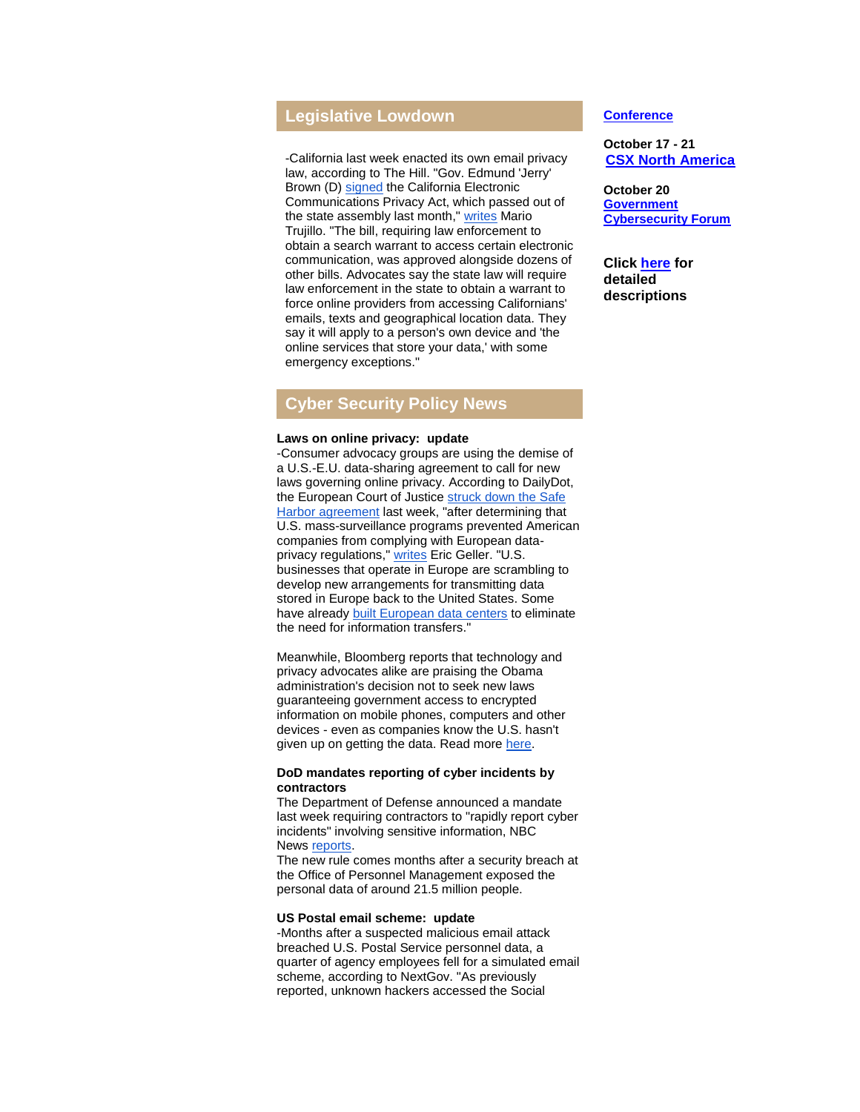# **Legislative Lowdown**

-California last week enacted its own email privacy law, according to The Hill. "Gov. Edmund 'Jerry' Brown (D) [signed](http://r20.rs6.net/tn.jsp?f=0013tB0IIqM28zna5baaVTbH0mI-4DeaKev5TZQOaZHh6IawPKKxqPllJZLRY7Nf_2Obpqb3sfrkgxf6kw_WKN31hBO61EIsY-ho-K1W_6gTAVKXdjBuD5kTd9dxHVGb-kxAW0lZynJUeysw-P2TlaZhJ2le0Hmv84oZxfNbjU5E6aRXYPE0ZQtZgIw7e7dFnmRRp9_TgdhP9M=&c=3xfQLcehl6Yh_8heTzmz3Q7nJx0R2W1auLku17GKwJFZ1IKRRh9grw==&ch=BDo8d4s4mW9R33QDssKLxUZJNKq5yb18lIGnfb3Lr-CHF--8tSGasg==) the California Electronic Communications Privacy Act, which passed out of the state assembly last month," [writes](http://r20.rs6.net/tn.jsp?f=0013tB0IIqM28zna5baaVTbH0mI-4DeaKev5TZQOaZHh6IawPKKxqPllJZLRY7Nf_2OKYp3vjQT4sLOn8sPfUBfRYvIfDfGhzT4qXAtwhrROTC9U9rzPB2TXMloNqq_Nxe6yE2HQEllp6L06NhjlmJQC_Qg6UUw7GXns0y4n--jwWS86jUx0GyhLZBAdWnwc_O1iO2Lk4OzcpykSnIN4L9PK3wgbzfztbwtzmTuG2M7QgK5aQ7bYuhZA-jVSPt6B9vwO1lPHp1yk1E=&c=3xfQLcehl6Yh_8heTzmz3Q7nJx0R2W1auLku17GKwJFZ1IKRRh9grw==&ch=BDo8d4s4mW9R33QDssKLxUZJNKq5yb18lIGnfb3Lr-CHF--8tSGasg==) Mario Trujillo. "The bill, requiring law enforcement to obtain a search warrant to access certain electronic communication, was approved alongside dozens of other bills. Advocates say the state law will require law enforcement in the state to obtain a warrant to force online providers from accessing Californians' emails, texts and geographical location data. They say it will apply to a person's own device and 'the online services that store your data,' with some emergency exceptions."

# **Cyber Security Policy News**

#### **Laws on online privacy: update**

-Consumer advocacy groups are using the demise of a U.S.-E.U. data-sharing agreement to call for new laws governing online privacy. According to DailyDot, the European Court of Justice [struck down the Safe](http://r20.rs6.net/tn.jsp?f=0013tB0IIqM28zna5baaVTbH0mI-4DeaKev5TZQOaZHh6IawPKKxqPllJZLRY7Nf_2O7q9P6S3PMJ1_HvQRwdGr5gShaWsqBnFPFoh1LENEv3ofHP0KW_Z-nsKqqncXTkRlo5EgpzSLhQVJ5cljMVNOedx7eydvWQjvS5OM2ykkcipSSXvSvgg9pcD5DG6W97Qun7OBm1XBmPUiWr4SJIDmfqiOL3WIbyLwwIWTuJ0bQAUwlXm6BygGncRBLPGDs343WUNacLCxNGk=&c=3xfQLcehl6Yh_8heTzmz3Q7nJx0R2W1auLku17GKwJFZ1IKRRh9grw==&ch=BDo8d4s4mW9R33QDssKLxUZJNKq5yb18lIGnfb3Lr-CHF--8tSGasg==)  [Harbor agreement](http://r20.rs6.net/tn.jsp?f=0013tB0IIqM28zna5baaVTbH0mI-4DeaKev5TZQOaZHh6IawPKKxqPllJZLRY7Nf_2O7q9P6S3PMJ1_HvQRwdGr5gShaWsqBnFPFoh1LENEv3ofHP0KW_Z-nsKqqncXTkRlo5EgpzSLhQVJ5cljMVNOedx7eydvWQjvS5OM2ykkcipSSXvSvgg9pcD5DG6W97Qun7OBm1XBmPUiWr4SJIDmfqiOL3WIbyLwwIWTuJ0bQAUwlXm6BygGncRBLPGDs343WUNacLCxNGk=&c=3xfQLcehl6Yh_8heTzmz3Q7nJx0R2W1auLku17GKwJFZ1IKRRh9grw==&ch=BDo8d4s4mW9R33QDssKLxUZJNKq5yb18lIGnfb3Lr-CHF--8tSGasg==) last week, "after determining that U.S. mass-surveillance programs prevented American companies from complying with European dataprivacy regulations," [writes](http://r20.rs6.net/tn.jsp?f=0013tB0IIqM28zna5baaVTbH0mI-4DeaKev5TZQOaZHh6IawPKKxqPllJZLRY7Nf_2OeJFudGgolwWVX6rqBBabiFsOBAtr5XH8oO_3-SnFnmnH8CEcMWK7riDebaKP8oE8z2tz4C8B3cr3VDRAlt_N0mZPJ-l6LdlNXxRGHpIT-AlmegI7Gw6mctWH0OwLsDf9jIlTtv1ReXS0pES1L3RnfjMA6gZkDpulVoeFlOT29sRmu3IO-WEjCO0vlh8yxehGPG0tlJz3FDQ=&c=3xfQLcehl6Yh_8heTzmz3Q7nJx0R2W1auLku17GKwJFZ1IKRRh9grw==&ch=BDo8d4s4mW9R33QDssKLxUZJNKq5yb18lIGnfb3Lr-CHF--8tSGasg==) Eric Geller. "U.S. businesses that operate in Europe are scrambling to develop new arrangements for transmitting data stored in Europe back to the United States. Some have already [built European data centers](http://r20.rs6.net/tn.jsp?f=0013tB0IIqM28zna5baaVTbH0mI-4DeaKev5TZQOaZHh6IawPKKxqPllJZLRY7Nf_2OFtkNMOtN0yJCF6So3T282soCzAM69nIxXVmRXS_YE5kGKkWrcpuGSJbA-rajuPqau73GZqDntrDiWEJtmSfkKMp9KLNKUO7D1iWICM-KVsXNPkc2qgEHvzpBefLk9k3CMszOvGGE4HWENpff6GO8iEL-npsrQBj1yaIbfJ5H5cYiMz9sbSuzzc5KKzTXDUnOxz4a4CFv4Nrv4lX9tqKuJQeT19GXQ9XhmvzJvh8irz8=&c=3xfQLcehl6Yh_8heTzmz3Q7nJx0R2W1auLku17GKwJFZ1IKRRh9grw==&ch=BDo8d4s4mW9R33QDssKLxUZJNKq5yb18lIGnfb3Lr-CHF--8tSGasg==) to eliminate the need for information transfers."

Meanwhile, Bloomberg reports that technology and privacy advocates alike are praising the Obama administration's decision not to seek new laws guaranteeing government access to encrypted information on mobile phones, computers and other devices - even as companies know the U.S. hasn't given up on getting the data. Read more [here.](http://r20.rs6.net/tn.jsp?f=0013tB0IIqM28zna5baaVTbH0mI-4DeaKev5TZQOaZHh6IawPKKxqPllJZLRY7Nf_2O9mB9eJRrPecxPVs69cr5X--TOJAxH-77nRkWDL3SJ9evCurg342_5xOmiZRPZY79sQLIlpZARbyVUVPqqjaJ6w5ckyYC3DDnuaaQkQ95ExWl1RPO-8ujWDiE5tsfHouCJMnWyVn2ZhFh8T_RkVqts0WyWytd0fQAaLfAHYW3qvmSaovDcBmqr2bDaZ15XKFScWp39R8XN8UeU8KXRaNp4lJV1jrrcdhYcSoNuR6O4tk=&c=3xfQLcehl6Yh_8heTzmz3Q7nJx0R2W1auLku17GKwJFZ1IKRRh9grw==&ch=BDo8d4s4mW9R33QDssKLxUZJNKq5yb18lIGnfb3Lr-CHF--8tSGasg==)

#### **DoD mandates reporting of cyber incidents by contractors**

The Department of Defense announced a mandate last week requiring contractors to "rapidly report cyber incidents" involving sensitive information, NBC News [reports.](http://r20.rs6.net/tn.jsp?f=0013tB0IIqM28zna5baaVTbH0mI-4DeaKev5TZQOaZHh6IawPKKxqPllJZLRY7Nf_2O6ycXSTJDmaC2LgY17bcKwdSi0Rh5Z81aUs4Hm81p7k3K4nxYjiC-KQrQk6c7cKDKxGvbnuOzfaRYKnvDprfBNy8S87p3371xIN5b7cQ2TGtoYepYm6JWWMUi3AWsG-dd92yp8wsAw9d9LzpX6HhBrZhJnoW_K9yo9pSel6kRRNAaFpa5EsAKbQFPsN1gvi5-mm4O9rq8Npp9n7LCsB7Gwm2gc8mIqi-U_0vmixOpGzc=&c=3xfQLcehl6Yh_8heTzmz3Q7nJx0R2W1auLku17GKwJFZ1IKRRh9grw==&ch=BDo8d4s4mW9R33QDssKLxUZJNKq5yb18lIGnfb3Lr-CHF--8tSGasg==)

The new rule comes months after a security breach at the Office of Personnel Management exposed the personal data of around 21.5 million people.

#### **US Postal email scheme: update**

-Months after a suspected malicious email attack breached U.S. Postal Service personnel data, a quarter of agency employees fell for a simulated email scheme, according to NextGov. "As previously reported, unknown hackers accessed the Social

#### **Conference**

**October 17 - 21 [CSX North America](http://r20.rs6.net/tn.jsp?f=0013tB0IIqM28zna5baaVTbH0mI-4DeaKev5TZQOaZHh6IawPKKxqPllP5phlKJLA6qhqTOG-ylnjLKgNjxmS9sMbbmSN48BGQHQhZA6qCGMJWiwDzmF7xGnLT71GGFTHQ_UKu_1Fwg5C5f51z9Dw98ijunjw3OORY75bu3P1CPlrGTjOgIKKRstBir4DEPTwgmomXOcnM671w=&c=3xfQLcehl6Yh_8heTzmz3Q7nJx0R2W1auLku17GKwJFZ1IKRRh9grw==&ch=BDo8d4s4mW9R33QDssKLxUZJNKq5yb18lIGnfb3Lr-CHF--8tSGasg==)**

**October 20 [Government](http://r20.rs6.net/tn.jsp?f=0013tB0IIqM28zna5baaVTbH0mI-4DeaKev5TZQOaZHh6IawPKKxqPllP5phlKJLA6qhqTOG-ylnjLKgNjxmS9sMbbmSN48BGQHQhZA6qCGMJWiwDzmF7xGnLT71GGFTHQ_UKu_1Fwg5C5f51z9Dw98ijunjw3OORY75bu3P1CPlrGTjOgIKKRstBir4DEPTwgmomXOcnM671w=&c=3xfQLcehl6Yh_8heTzmz3Q7nJx0R2W1auLku17GKwJFZ1IKRRh9grw==&ch=BDo8d4s4mW9R33QDssKLxUZJNKq5yb18lIGnfb3Lr-CHF--8tSGasg==)  [Cybersecurity Forum](http://r20.rs6.net/tn.jsp?f=0013tB0IIqM28zna5baaVTbH0mI-4DeaKev5TZQOaZHh6IawPKKxqPllP5phlKJLA6qhqTOG-ylnjLKgNjxmS9sMbbmSN48BGQHQhZA6qCGMJWiwDzmF7xGnLT71GGFTHQ_UKu_1Fwg5C5f51z9Dw98ijunjw3OORY75bu3P1CPlrGTjOgIKKRstBir4DEPTwgmomXOcnM671w=&c=3xfQLcehl6Yh_8heTzmz3Q7nJx0R2W1auLku17GKwJFZ1IKRRh9grw==&ch=BDo8d4s4mW9R33QDssKLxUZJNKq5yb18lIGnfb3Lr-CHF--8tSGasg==)**

**Click [here](http://r20.rs6.net/tn.jsp?f=0013tB0IIqM28zna5baaVTbH0mI-4DeaKev5TZQOaZHh6IawPKKxqPllIlockr52KUPRoghbYpPrRPZSMY7BpgWqjuS-ewBXfvB2zTKL0zRCa08d_HcWr8mUvEiSCLzcNHxN6mKrW-nEVPYeP_VrnBVcHCedDBAUTTyvHdzHOhuvGec0nu2uO3ae97D5cnoY35Pe7ouj9F3h93phuD3QHt_AQ==&c=3xfQLcehl6Yh_8heTzmz3Q7nJx0R2W1auLku17GKwJFZ1IKRRh9grw==&ch=BDo8d4s4mW9R33QDssKLxUZJNKq5yb18lIGnfb3Lr-CHF--8tSGasg==) for detailed descriptions**